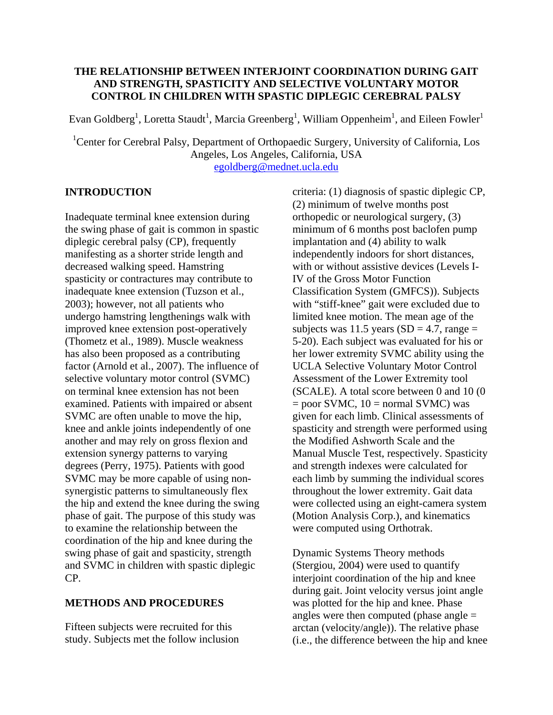# **THE RELATIONSHIP BETWEEN INTERJOINT COORDINATION DURING GAIT AND STRENGTH, SPASTICITY AND SELECTIVE VOLUNTARY MOTOR CONTROL IN CHILDREN WITH SPASTIC DIPLEGIC CEREBRAL PALSY**

Evan Goldberg<sup>1</sup>, Loretta Staudt<sup>1</sup>, Marcia Greenberg<sup>1</sup>, William Oppenheim<sup>1</sup>, and Eileen Fowler<sup>1</sup>

<sup>1</sup>Center for Cerebral Palsy, Department of Orthopaedic Surgery, University of California, Los Angeles, Los Angeles, California, USA egoldberg@mednet.ucla.edu

# **INTRODUCTION**

Inadequate terminal knee extension during the swing phase of gait is common in spastic diplegic cerebral palsy (CP), frequently manifesting as a shorter stride length and decreased walking speed. Hamstring spasticity or contractures may contribute to inadequate knee extension (Tuzson et al., 2003); however, not all patients who undergo hamstring lengthenings walk with improved knee extension post-operatively (Thometz et al., 1989). Muscle weakness has also been proposed as a contributing factor (Arnold et al., 2007). The influence of selective voluntary motor control (SVMC) on terminal knee extension has not been examined. Patients with impaired or absent SVMC are often unable to move the hip, knee and ankle joints independently of one another and may rely on gross flexion and extension synergy patterns to varying degrees (Perry, 1975). Patients with good SVMC may be more capable of using nonsynergistic patterns to simultaneously flex the hip and extend the knee during the swing phase of gait. The purpose of this study was to examine the relationship between the coordination of the hip and knee during the swing phase of gait and spasticity, strength and SVMC in children with spastic diplegic CP.

# **METHODS AND PROCEDURES**

Fifteen subjects were recruited for this study. Subjects met the follow inclusion criteria: (1) diagnosis of spastic diplegic CP, (2) minimum of twelve months post orthopedic or neurological surgery, (3) minimum of 6 months post baclofen pump implantation and (4) ability to walk independently indoors for short distances, with or without assistive devices (Levels I-IV of the Gross Motor Function Classification System (GMFCS)). Subjects with "stiff-knee" gait were excluded due to limited knee motion. The mean age of the subjects was 11.5 years  $(SD = 4.7, \text{range} =$ 5-20). Each subject was evaluated for his or her lower extremity SVMC ability using the UCLA Selective Voluntary Motor Control Assessment of the Lower Extremity tool (SCALE). A total score between 0 and 10 (0  $=$  poor SVMC, 10  $=$  normal SVMC) was given for each limb. Clinical assessments of spasticity and strength were performed using the Modified Ashworth Scale and the Manual Muscle Test, respectively. Spasticity and strength indexes were calculated for each limb by summing the individual scores throughout the lower extremity. Gait data were collected using an eight-camera system (Motion Analysis Corp.), and kinematics were computed using Orthotrak.

Dynamic Systems Theory methods (Stergiou, 2004) were used to quantify interjoint coordination of the hip and knee during gait. Joint velocity versus joint angle was plotted for the hip and knee. Phase angles were then computed (phase angle = arctan (velocity/angle)). The relative phase (i.e., the difference between the hip and knee